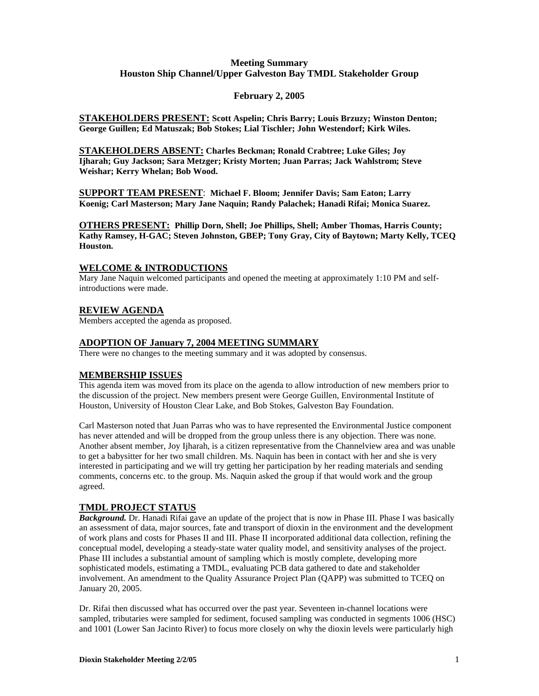## **Meeting Summary Houston Ship Channel/Upper Galveston Bay TMDL Stakeholder Group**

## **February 2, 2005**

**STAKEHOLDERS PRESENT: Scott Aspelin; Chris Barry; Louis Brzuzy; Winston Denton; George Guillen; Ed Matuszak; Bob Stokes; Lial Tischler; John Westendorf; Kirk Wiles.**

**STAKEHOLDERS ABSENT: Charles Beckman; Ronald Crabtree; Luke Giles; Joy Ijharah; Guy Jackson; Sara Metzger; Kristy Morten; Juan Parras; Jack Wahlstrom; Steve Weishar; Kerry Whelan; Bob Wood.**

**SUPPORT TEAM PRESENT**: **Michael F. Bloom; Jennifer Davis; Sam Eaton; Larry Koenig; Carl Masterson; Mary Jane Naquin; Randy Palachek; Hanadi Rifai; Monica Suarez.** 

**OTHERS PRESENT: Phillip Dorn, Shell; Joe Phillips, Shell; Amber Thomas, Harris County; Kathy Ramsey, H-GAC; Steven Johnston, GBEP; Tony Gray, City of Baytown; Marty Kelly, TCEQ Houston.**

### **WELCOME & INTRODUCTIONS**

Mary Jane Naquin welcomed participants and opened the meeting at approximately 1:10 PM and selfintroductions were made.

### **REVIEW AGENDA**

Members accepted the agenda as proposed.

### **ADOPTION OF January 7, 2004 MEETING SUMMARY**

There were no changes to the meeting summary and it was adopted by consensus.

## **MEMBERSHIP ISSUES**

This agenda item was moved from its place on the agenda to allow introduction of new members prior to the discussion of the project. New members present were George Guillen, Environmental Institute of Houston, University of Houston Clear Lake, and Bob Stokes, Galveston Bay Foundation.

Carl Masterson noted that Juan Parras who was to have represented the Environmental Justice component has never attended and will be dropped from the group unless there is any objection. There was none. Another absent member, Joy Ijharah, is a citizen representative from the Channelview area and was unable to get a babysitter for her two small children. Ms. Naquin has been in contact with her and she is very interested in participating and we will try getting her participation by her reading materials and sending comments, concerns etc. to the group. Ms. Naquin asked the group if that would work and the group agreed.

## **TMDL PROJECT STATUS**

*Background.* Dr. Hanadi Rifai gave an update of the project that is now in Phase III. Phase I was basically an assessment of data, major sources, fate and transport of dioxin in the environment and the development of work plans and costs for Phases II and III. Phase II incorporated additional data collection, refining the conceptual model, developing a steady-state water quality model, and sensitivity analyses of the project. Phase III includes a substantial amount of sampling which is mostly complete, developing more sophisticated models, estimating a TMDL, evaluating PCB data gathered to date and stakeholder involvement. An amendment to the Quality Assurance Project Plan (QAPP) was submitted to TCEQ on January 20, 2005.

Dr. Rifai then discussed what has occurred over the past year. Seventeen in-channel locations were sampled, tributaries were sampled for sediment, focused sampling was conducted in segments 1006 (HSC) and 1001 (Lower San Jacinto River) to focus more closely on why the dioxin levels were particularly high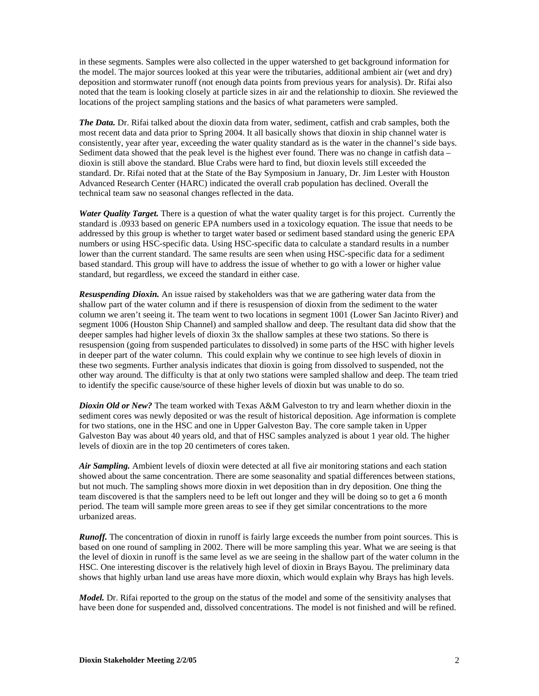in these segments. Samples were also collected in the upper watershed to get background information for the model. The major sources looked at this year were the tributaries, additional ambient air (wet and dry) deposition and stormwater runoff (not enough data points from previous years for analysis). Dr. Rifai also noted that the team is looking closely at particle sizes in air and the relationship to dioxin. She reviewed the locations of the project sampling stations and the basics of what parameters were sampled.

*The Data.* Dr. Rifai talked about the dioxin data from water, sediment, catfish and crab samples, both the most recent data and data prior to Spring 2004. It all basically shows that dioxin in ship channel water is consistently, year after year, exceeding the water quality standard as is the water in the channel's side bays. Sediment data showed that the peak level is the highest ever found. There was no change in catfish data – dioxin is still above the standard. Blue Crabs were hard to find, but dioxin levels still exceeded the standard. Dr. Rifai noted that at the State of the Bay Symposium in January, Dr. Jim Lester with Houston Advanced Research Center (HARC) indicated the overall crab population has declined. Overall the technical team saw no seasonal changes reflected in the data.

*Water Quality Target.* There is a question of what the water quality target is for this project. Currently the standard is .0933 based on generic EPA numbers used in a toxicology equation. The issue that needs to be addressed by this group is whether to target water based or sediment based standard using the generic EPA numbers or using HSC-specific data. Using HSC-specific data to calculate a standard results in a number lower than the current standard. The same results are seen when using HSC-specific data for a sediment based standard. This group will have to address the issue of whether to go with a lower or higher value standard, but regardless, we exceed the standard in either case.

*Resuspending Dioxin.* An issue raised by stakeholders was that we are gathering water data from the shallow part of the water column and if there is resuspension of dioxin from the sediment to the water column we aren't seeing it. The team went to two locations in segment 1001 (Lower San Jacinto River) and segment 1006 (Houston Ship Channel) and sampled shallow and deep. The resultant data did show that the deeper samples had higher levels of dioxin 3x the shallow samples at these two stations. So there is resuspension (going from suspended particulates to dissolved) in some parts of the HSC with higher levels in deeper part of the water column. This could explain why we continue to see high levels of dioxin in these two segments. Further analysis indicates that dioxin is going from dissolved to suspended, not the other way around. The difficulty is that at only two stations were sampled shallow and deep. The team tried to identify the specific cause/source of these higher levels of dioxin but was unable to do so.

*Dioxin Old or New?* The team worked with Texas A&M Galveston to try and learn whether dioxin in the sediment cores was newly deposited or was the result of historical deposition. Age information is complete for two stations, one in the HSC and one in Upper Galveston Bay. The core sample taken in Upper Galveston Bay was about 40 years old, and that of HSC samples analyzed is about 1 year old. The higher levels of dioxin are in the top 20 centimeters of cores taken.

*Air Sampling.* Ambient levels of dioxin were detected at all five air monitoring stations and each station showed about the same concentration. There are some seasonality and spatial differences between stations, but not much. The sampling shows more dioxin in wet deposition than in dry deposition. One thing the team discovered is that the samplers need to be left out longer and they will be doing so to get a 6 month period. The team will sample more green areas to see if they get similar concentrations to the more urbanized areas.

*Runoff.* The concentration of dioxin in runoff is fairly large exceeds the number from point sources. This is based on one round of sampling in 2002. There will be more sampling this year. What we are seeing is that the level of dioxin in runoff is the same level as we are seeing in the shallow part of the water column in the HSC. One interesting discover is the relatively high level of dioxin in Brays Bayou. The preliminary data shows that highly urban land use areas have more dioxin, which would explain why Brays has high levels.

*Model.* Dr. Rifai reported to the group on the status of the model and some of the sensitivity analyses that have been done for suspended and, dissolved concentrations. The model is not finished and will be refined.